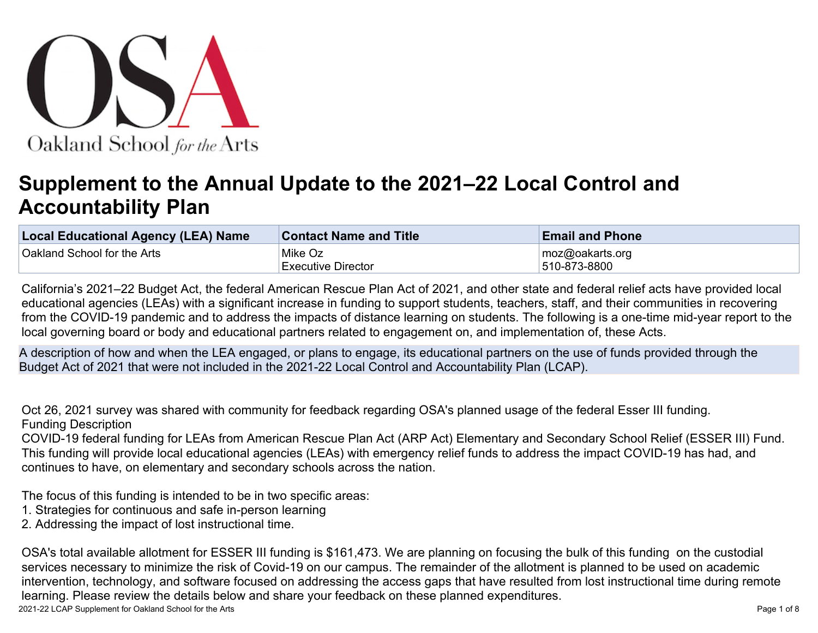

# **Supplement to the Annual Update to the 2021–22 Local Control and Accountability Plan**

| <b>Local Educational Agency (LEA) Name</b> | <b>Contact Name and Title</b> | <b>Email and Phone</b> |
|--------------------------------------------|-------------------------------|------------------------|
| <b>Oakland School for the Arts</b>         | ∣Mike Oz                      | moz@oakarts.org        |
|                                            | <b>Executive Director</b>     | 510-873-8800           |

California's 2021–22 Budget Act, the federal American Rescue Plan Act of 2021, and other state and federal relief acts have provided local educational agencies (LEAs) with a significant increase in funding to support students, teachers, staff, and their communities in recovering from the COVID-19 pandemic and to address the impacts of distance learning on students. The following is a one-time mid-year report to the local governing board or body and educational partners related to engagement on, and implementation of, these Acts.

A description of how and when the LEA engaged, or plans to engage, its educational partners on the use of funds provided through the Budget Act of 2021 that were not included in the 2021-22 Local Control and Accountability Plan (LCAP).

Oct 26, 2021 survey was shared with community for feedback regarding OSA's planned usage of the federal Esser III funding. Funding Description

COVID-19 federal funding for LEAs from American Rescue Plan Act (ARP Act) Elementary and Secondary School Relief (ESSER III) Fund. This funding will provide local educational agencies (LEAs) with emergency relief funds to address the impact COVID-19 has had, and continues to have, on elementary and secondary schools across the nation.

The focus of this funding is intended to be in two specific areas:

- 1. Strategies for continuous and safe in-person learning
- 2. Addressing the impact of lost instructional time.

OSA's total available allotment for ESSER III funding is \$161,473. We are planning on focusing the bulk of this funding on the custodial services necessary to minimize the risk of Covid-19 on our campus. The remainder of the allotment is planned to be used on academic intervention, technology, and software focused on addressing the access gaps that have resulted from lost instructional time during remote learning. Please review the details below and share your feedback on these planned expenditures.

2021-22 LCAP Supplement for Oakland School for the Arts **Page 1 of 8** and 2021-22 LCAP Supplement for Oakland School for the Arts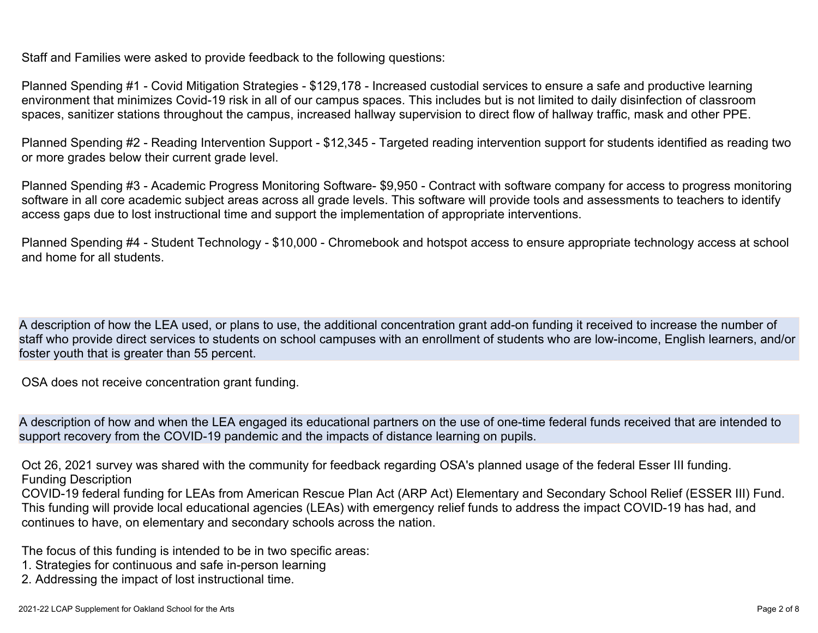Planned Spending #1 - Covid Mitigation Strategies - \$129,178 - Increased custodial services to ensure a safe and productive learning environment that minimizes Covid-19 risk in all of our campus spaces. This includes but is not limited to daily disinfection of classroom spaces, sanitizer stations throughout the campus, increased hallway supervision to direct flow of hallway traffic, mask and other PPE.

Planned Spending #2 - Reading Intervention Support - \$12,345 - Targeted reading intervention support for students identified as reading two or more grades below their current grade level.

Planned Spending #3 - Academic Progress Monitoring Software- \$9,950 - Contract with software company for access to progress monitoring software in all core academic subject areas across all grade levels. This software will provide tools and assessments to teachers to identify access gaps due to lost instructional time and support the implementation of appropriate interventions.

Planned Spending #4 - Student Technology - \$10,000 - Chromebook and hotspot access to ensure appropriate technology access at school and home for all students.

A description of how the LEA used, or plans to use, the additional concentration grant add-on funding it received to increase the number of staff who provide direct services to students on school campuses with an enrollment of students who are low-income, English learners, and/or foster youth that is greater than 55 percent.

OSA does not receive concentration grant funding.

A description of how and when the LEA engaged its educational partners on the use of one-time federal funds received that are intended to support recovery from the COVID-19 pandemic and the impacts of distance learning on pupils.

Oct 26, 2021 survey was shared with the community for feedback regarding OSA's planned usage of the federal Esser III funding. Funding Description

COVID-19 federal funding for LEAs from American Rescue Plan Act (ARP Act) Elementary and Secondary School Relief (ESSER III) Fund. This funding will provide local educational agencies (LEAs) with emergency relief funds to address the impact COVID-19 has had, and continues to have, on elementary and secondary schools across the nation.

The focus of this funding is intended to be in two specific areas:

- 1. Strategies for continuous and safe in-person learning
- 2. Addressing the impact of lost instructional time.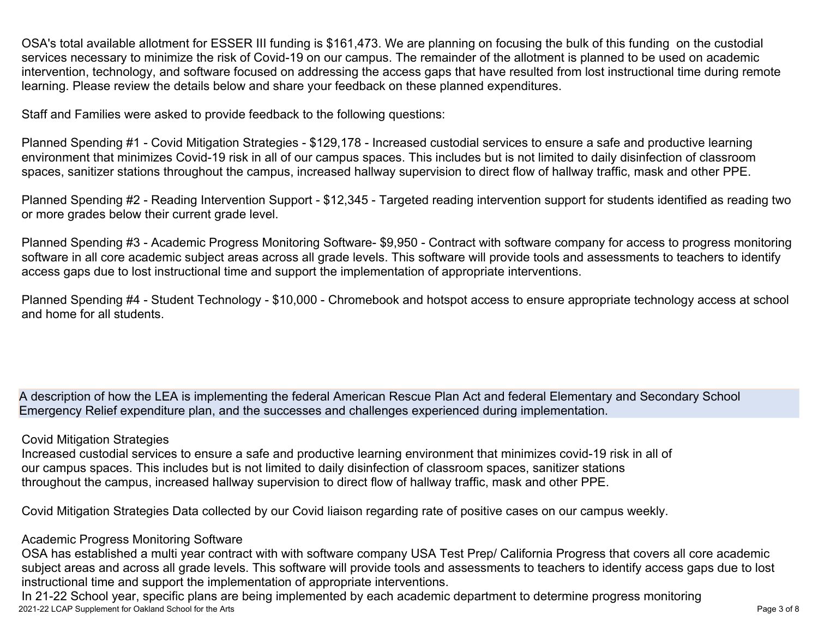OSA's total available allotment for ESSER III funding is \$161,473. We are planning on focusing the bulk of this funding on the custodial services necessary to minimize the risk of Covid-19 on our campus. The remainder of the allotment is planned to be used on academic intervention, technology, and software focused on addressing the access gaps that have resulted from lost instructional time during remote learning. Please review the details below and share your feedback on these planned expenditures.

Staff and Families were asked to provide feedback to the following questions:

Planned Spending #1 - Covid Mitigation Strategies - \$129,178 - Increased custodial services to ensure a safe and productive learning environment that minimizes Covid-19 risk in all of our campus spaces. This includes but is not limited to daily disinfection of classroom spaces, sanitizer stations throughout the campus, increased hallway supervision to direct flow of hallway traffic, mask and other PPE.

Planned Spending #2 - Reading Intervention Support - \$12,345 - Targeted reading intervention support for students identified as reading two or more grades below their current grade level.

Planned Spending #3 - Academic Progress Monitoring Software- \$9,950 - Contract with software company for access to progress monitoring software in all core academic subject areas across all grade levels. This software will provide tools and assessments to teachers to identify access gaps due to lost instructional time and support the implementation of appropriate interventions.

Planned Spending #4 - Student Technology - \$10,000 - Chromebook and hotspot access to ensure appropriate technology access at school and home for all students.

A description of how the LEA is implementing the federal American Rescue Plan Act and federal Elementary and Secondary School Emergency Relief expenditure plan, and the successes and challenges experienced during implementation.

#### Covid Mitigation Strategies

Increased custodial services to ensure a safe and productive learning environment that minimizes covid-19 risk in all of our campus spaces. This includes but is not limited to daily disinfection of classroom spaces, sanitizer stations throughout the campus, increased hallway supervision to direct flow of hallway traffic, mask and other PPE.

Covid Mitigation Strategies Data collected by our Covid liaison regarding rate of positive cases on our campus weekly.

### Academic Progress Monitoring Software

OSA has established a multi year contract with with software company USA Test Prep/ California Progress that covers all core academic subject areas and across all grade levels. This software will provide tools and assessments to teachers to identify access gaps due to lost instructional time and support the implementation of appropriate interventions.

2021-22 LCAP Supplement for Oakland School for the Arts Page 3 of 8 In 21-22 School year, specific plans are being implemented by each academic department to determine progress monitoring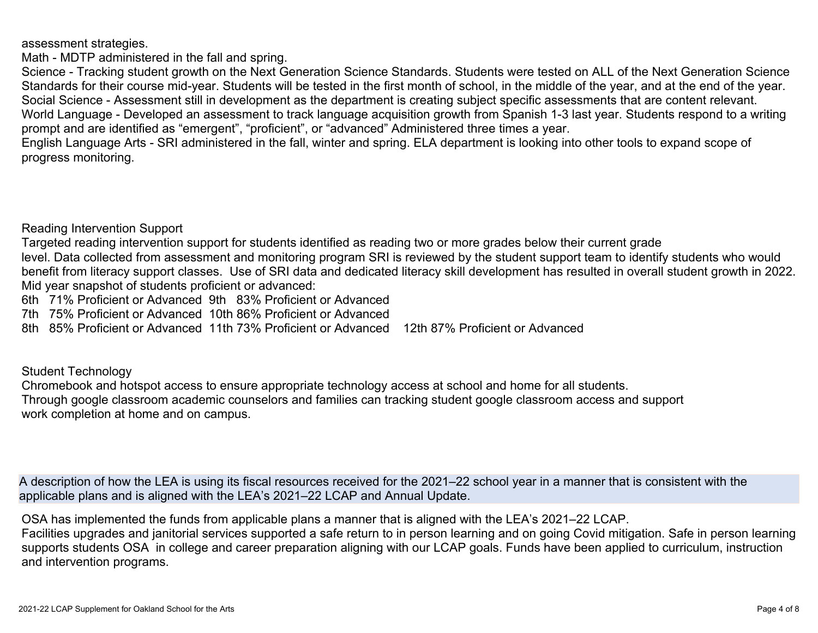assessment strategies.

Math - MDTP administered in the fall and spring.

Science - Tracking student growth on the Next Generation Science Standards. Students were tested on ALL of the Next Generation Science Standards for their course mid-year. Students will be tested in the first month of school, in the middle of the year, and at the end of the year. Social Science - Assessment still in development as the department is creating subject specific assessments that are content relevant. World Language - Developed an assessment to track language acquisition growth from Spanish 1-3 last year. Students respond to a writing prompt and are identified as "emergent", "proficient", or "advanced" Administered three times a year.

English Language Arts - SRI administered in the fall, winter and spring. ELA department is looking into other tools to expand scope of progress monitoring.

Reading Intervention Support

Targeted reading intervention support for students identified as reading two or more grades below their current grade level. Data collected from assessment and monitoring program SRI is reviewed by the student support team to identify students who would benefit from literacy support classes. Use of SRI data and dedicated literacy skill development has resulted in overall student growth in 2022. Mid year snapshot of students proficient or advanced:

6th 71% Proficient or Advanced 9th 83% Proficient or Advanced

7th 75% Proficient or Advanced 10th 86% Proficient or Advanced

8th 85% Proficient or Advanced 11th 73% Proficient or Advanced 12th 87% Proficient or Advanced

Student Technology

Chromebook and hotspot access to ensure appropriate technology access at school and home for all students. Through google classroom academic counselors and families can tracking student google classroom access and support work completion at home and on campus.

A description of how the LEA is using its fiscal resources received for the 2021–22 school year in a manner that is consistent with the applicable plans and is aligned with the LEA's 2021–22 LCAP and Annual Update.

OSA has implemented the funds from applicable plans a manner that is aligned with the LEA's 2021–22 LCAP.

Facilities upgrades and janitorial services supported a safe return to in person learning and on going Covid mitigation. Safe in person learning supports students OSA in college and career preparation aligning with our LCAP goals. Funds have been applied to curriculum, instruction and intervention programs.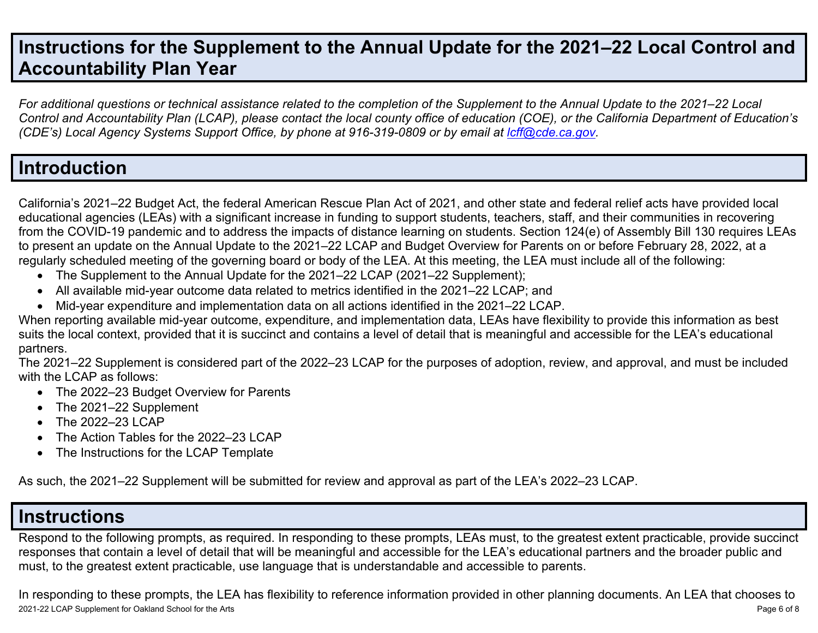# **Instructions for the Supplement to the Annual Update for the 2021–22 Local Control and Accountability Plan Year**

For additional questions or technical assistance related to the completion of the Supplement to the Annual Update to the 2021–22 Local Control and Accountability Plan (LCAP), please contact the local county office of education (COE), or the California Department of Education's *(CDE's) Local Agency Systems Support Office, by phone at 916-319-0809 or by email at [lcff@cde.ca.gov](mailto:lcff@cde.ca.gov).*

### **Introduction**

California's 2021–22 Budget Act, the federal American Rescue Plan Act of 2021, and other state and federal relief acts have provided local educational agencies (LEAs) with a significant increase in funding to support students, teachers, staff, and their communities in recovering from the COVID-19 pandemic and to address the impacts of distance learning on students. Section 124(e) of Assembly Bill 130 requires LEAs to present an update on the Annual Update to the 2021–22 LCAP and Budget Overview for Parents on or before February 28, 2022, at a regularly scheduled meeting of the governing board or body of the LEA. At this meeting, the LEA must include all of the following:

- The Supplement to the Annual Update for the 2021–22 LCAP (2021–22 Supplement);
- All available mid-year outcome data related to metrics identified in the 2021–22 LCAP; and
- Mid-year expenditure and implementation data on all actions identified in the 2021–22 LCAP.

When reporting available mid-year outcome, expenditure, and implementation data, LEAs have flexibility to provide this information as best suits the local context, provided that it is succinct and contains a level of detail that is meaningful and accessible for the LEA's educational partners.

The 2021–22 Supplement is considered part of the 2022–23 LCAP for the purposes of adoption, review, and approval, and must be included with the LCAP as follows:

- The 2022–23 Budget Overview for Parents
- The 2021–22 Supplement
- The 2022-23 LCAP
- The Action Tables for the 2022–23 LCAP
- The Instructions for the LCAP Template

As such, the 2021–22 Supplement will be submitted for review and approval as part of the LEA's 2022–23 LCAP.

## **Instructions**

Respond to the following prompts, as required. In responding to these prompts, LEAs must, to the greatest extent practicable, provide succinct responses that contain a level of detail that will be meaningful and accessible for the LEA's educational partners and the broader public and must, to the greatest extent practicable, use language that is understandable and accessible to parents.

2021-22 LCAP Supplement for Oakland School for the Arts **Page 6 of 8** and 2021-22 LCAP Supplement for Oakland School for the Arts Page 6 of 8 In responding to these prompts, the LEA has flexibility to reference information provided in other planning documents. An LEA that chooses to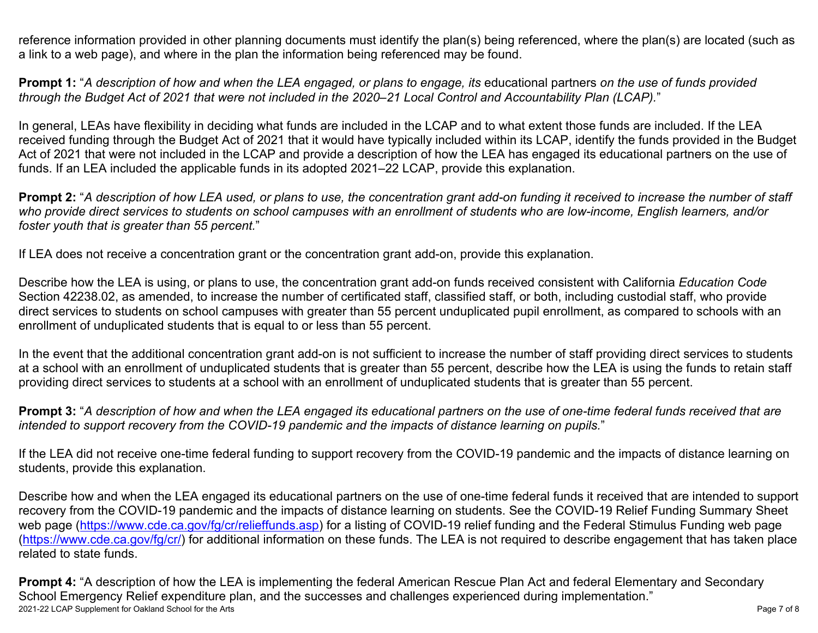reference information provided in other planning documents must identify the plan(s) being referenced, where the plan(s) are located (such as a link to a web page), and where in the plan the information being referenced may be found.

**Prompt 1:** "A description of how and when the LEA engaged, or plans to engage, its educational partners on the use of funds provided through the Budget Act of 2021 that were not included in the 2020–21 Local Control and Accountability Plan (LCAP)."

In general, LEAs have flexibility in deciding what funds are included in the LCAP and to what extent those funds are included. If the LEA received funding through the Budget Act of 2021 that it would have typically included within its LCAP, identify the funds provided in the Budget Act of 2021 that were not included in the LCAP and provide a description of how the LEA has engaged its educational partners on the use of funds. If an LEA included the applicable funds in its adopted 2021–22 LCAP, provide this explanation.

**Prompt 2:** "A description of how LEA used, or plans to use, the concentration grant add-on funding it received to increase the number of staff who provide direct services to students on school campuses with an enrollment of students who are low-income, English learners, and/or *foster youth that is greater than 55 percent.*"

If LEA does not receive a concentration grant or the concentration grant add-on, provide this explanation.

Describe how the LEA is using, or plans to use, the concentration grant add-on funds received consistent with California *Education Code* Section 42238.02, as amended, to increase the number of certificated staff, classified staff, or both, including custodial staff, who provide direct services to students on school campuses with greater than 55 percent unduplicated pupil enrollment, as compared to schools with an enrollment of unduplicated students that is equal to or less than 55 percent.

In the event that the additional concentration grant add-on is not sufficient to increase the number of staff providing direct services to students at a school with an enrollment of unduplicated students that is greater than 55 percent, describe how the LEA is using the funds to retain staff providing direct services to students at a school with an enrollment of unduplicated students that is greater than 55 percent.

**Prompt 3:** "A description of how and when the LEA engaged its educational partners on the use of one-time federal funds received that are *intended to support recovery from the COVID-19 pandemic and the impacts of distance learning on pupils.*"

If the LEA did not receive one-time federal funding to support recovery from the COVID-19 pandemic and the impacts of distance learning on students, provide this explanation.

Describe how and when the LEA engaged its educational partners on the use of one-time federal funds it received that are intended to support recovery from the COVID-19 pandemic and the impacts of distance learning on students. See the COVID-19 Relief Funding Summary Sheet web page [\(https://www.cde.ca.gov/fg/cr/relieffunds.asp\)](https://www.cde.ca.gov/fg/cr/relieffunds.asp) for a listing of COVID-19 relief funding and the Federal Stimulus Funding web page (<https://www.cde.ca.gov/fg/cr/>) for additional information on these funds. The LEA is not required to describe engagement that has taken place related to state funds.

2021-22 LCAP Supplement for Oakland School for the Arts **Page 7 of 8** and 2021-22 LCAP Supplement for Oakland School for the Arts **Prompt 4:** "A description of how the LEA is implementing the federal American Rescue Plan Act and federal Elementary and Secondary School Emergency Relief expenditure plan, and the successes and challenges experienced during implementation."